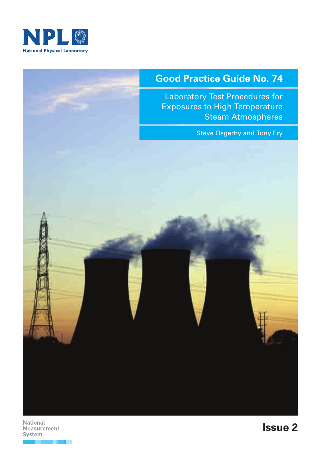

# **Good Practice Guide No. 74**

Laboratory Test Procedures for Exposures to High Temperature Steam Atmospheres

Steve Osgerby and Tony Fry



**National Measurement System**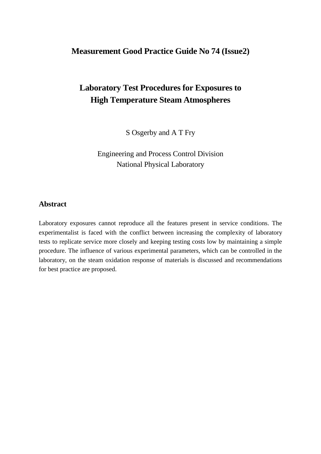# **Measurement Good Practice Guide No 74 (Issue2)**

# **Laboratory Test Procedures for Exposures to High Temperature Steam Atmospheres**

S Osgerby and A T Fry

Engineering and Process Control Division National Physical Laboratory

#### **Abstract**

Laboratory exposures cannot reproduce all the features present in service conditions. The experimentalist is faced with the conflict between increasing the complexity of laboratory tests to replicate service more closely and keeping testing costs low by maintaining a simple procedure. The influence of various experimental parameters, which can be controlled in the laboratory, on the steam oxidation response of materials is discussed and recommendations for best practice are proposed.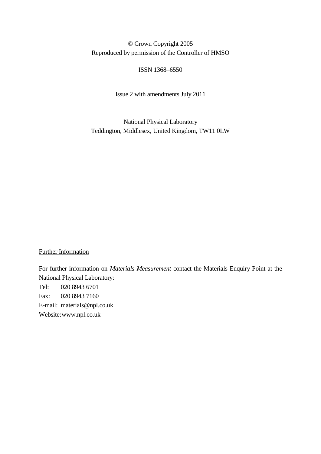#### © Crown Copyright 2005 Reproduced by permission of the Controller of HMSO

#### ISSN 1368–6550

Issue 2 with amendments July 2011

National Physical Laboratory Teddington, Middlesex, United Kingdom, TW11 0LW

#### Further Information

For further information on *Materials Measurement* contact the Materials Enquiry Point at the National Physical Laboratory: Tel: 020 8943 6701 Fax: 020 8943 7160 E-mail: materials@npl.co.uk Website: www.npl.co.uk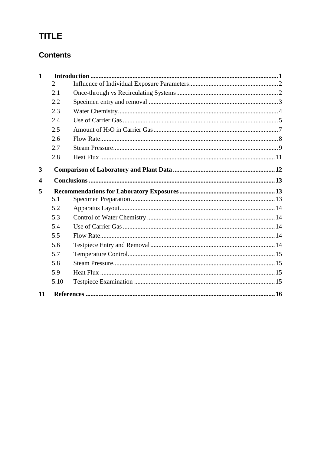# **TITLE**

# **Contents**

| $\mathbf{1}$ |                |  |  |  |  |
|--------------|----------------|--|--|--|--|
|              | $\overline{2}$ |  |  |  |  |
|              | 2.1            |  |  |  |  |
|              | 2.2            |  |  |  |  |
|              | 2.3            |  |  |  |  |
|              | 2.4            |  |  |  |  |
|              | 2.5            |  |  |  |  |
|              | 2.6            |  |  |  |  |
|              | 2.7            |  |  |  |  |
|              | 2.8            |  |  |  |  |
| 3            |                |  |  |  |  |
|              |                |  |  |  |  |
| 4            |                |  |  |  |  |
|              |                |  |  |  |  |
| 5            |                |  |  |  |  |
|              | 5.1            |  |  |  |  |
|              | 5.2            |  |  |  |  |
|              | 5.3            |  |  |  |  |
|              | 5.4            |  |  |  |  |
|              | 5.5            |  |  |  |  |
|              | 5.6            |  |  |  |  |
|              | 5.7            |  |  |  |  |
|              | 5.8            |  |  |  |  |
|              | 5.9            |  |  |  |  |
|              | 5.10           |  |  |  |  |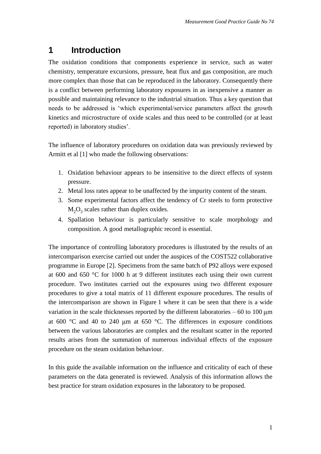# **1 Introduction**

The oxidation conditions that components experience in service, such as water chemistry, temperature excursions, pressure, heat flux and gas composition, are much more complex than those that can be reproduced in the laboratory. Consequently there is a conflict between performing laboratory exposures in as inexpensive a manner as possible and maintaining relevance to the industrial situation. Thus a key question that needs to be addressed is 'which experimental/service parameters affect the growth kinetics and microstructure of oxide scales and thus need to be controlled (or at least reported) in laboratory studies'.

The influence of laboratory procedures on oxidation data was previously reviewed by Armitt et al [1] who made the following observations:

- 1. Oxidation behaviour appears to be insensitive to the direct effects of system pressure.
- 2. Metal loss rates appear to be unaffected by the impurity content of the steam.
- 3. Some experimental factors affect the tendency of Cr steels to form protective  $M_2O_3$  scales rather than duplex oxides.
- 4. Spallation behaviour is particularly sensitive to scale morphology and composition. A good metallographic record is essential.

The importance of controlling laboratory procedures is illustrated by the results of an intercomparison exercise carried out under the auspices of the COST522 collaborative programme in Europe [2]. Specimens from the same batch of P92 alloys were exposed at 600 and 650 °C for 1000 h at 9 different institutes each using their own current procedure. Two institutes carried out the exposures using two different exposure procedures to give a total matrix of 11 different exposure procedures. The results of the intercomparison are shown in Figure 1 where it can be seen that there is a wide variation in the scale thicknesses reported by the different laboratories – 60 to 100  $\mu$ m at 600  $^{\circ}$ C and 40 to 240  $\mu$ m at 650  $^{\circ}$ C. The differences in exposure conditions between the various laboratories are complex and the resultant scatter in the reported results arises from the summation of numerous individual effects of the exposure procedure on the steam oxidation behaviour.

In this guide the available information on the influence and criticality of each of these parameters on the data generated is reviewed. Analysis of this information allows the best practice for steam oxidation exposures in the laboratory to be proposed.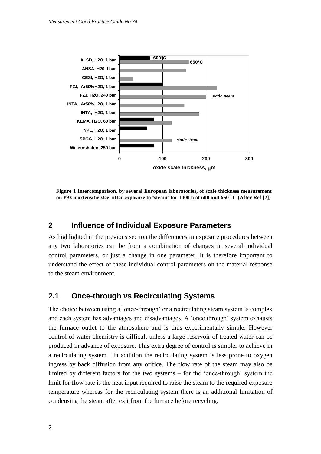

**Figure 1 Intercomparison, by several European laboratories, of scale thickness measurement on P92 martensitic steel after exposure to 'steam' for 1000 h at 600 and 650 °C (After Ref [2])**

#### **2 Influence of Individual Exposure Parameters**

As highlighted in the previous section the differences in exposure procedures between any two laboratories can be from a combination of changes in several individual control parameters, or just a change in one parameter. It is therefore important to understand the effect of these individual control parameters on the material response to the steam environment.

#### **2.1 Once-through vs Recirculating Systems**

The choice between using a 'once-through' or a recirculating steam system is complex and each system has advantages and disadvantages. A 'once through' system exhausts the furnace outlet to the atmosphere and is thus experimentally simple. However control of water chemistry is difficult unless a large reservoir of treated water can be produced in advance of exposure. This extra degree of control is simpler to achieve in a recirculating system. In addition the recirculating system is less prone to oxygen ingress by back diffusion from any orifice. The flow rate of the steam may also be limited by different factors for the two systems – for the 'once-through' system the limit for flow rate is the heat input required to raise the steam to the required exposure temperature whereas for the recirculating system there is an additional limitation of condensing the steam after exit from the furnace before recycling.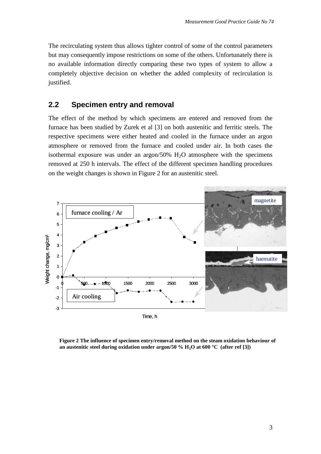The recirculating system thus allows tighter control of some of the control parameters but may consequently impose restrictions on some of the others. Unfortunately there is no available information directly comparing these two types of system to allow a completely objective decision on whether the added complexity of recirculation is justified.

#### **2.2 Specimen entry and removal**

The effect of the method by which specimens are entered and removed from the furnace has been studied by Zurek et al [3] on both austenitic and ferritic steels. The respective specimens were either heated and cooled in the furnace under an argon atmosphere or removed from the furnace and cooled under air. In both cases the isothermal exposure was under an argon/50%  $H<sub>2</sub>O$  atmosphere with the specimens removed at 250 h intervals. The effect of the different specimen handling procedures on the weight changes is shown in Figure 2 for an austenitic steel.



**Figure 2 The influence of specimen entry/removal method on the steam oxidation behaviour of an austenitic steel during oxidation under argon/50 % H2O at 600 °C (after ref [3])**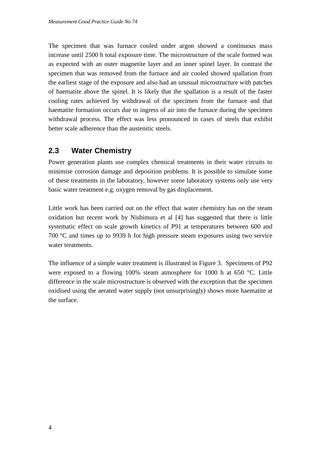The specimen that was furnace cooled under argon showed a continuous mass increase until 2500 h total exposure time. The microstructure of the scale formed was as expected with an outer magnetite layer and an inner spinel layer. In contrast the specimen that was removed from the furnace and air cooled showed spallation from the earliest stage of the exposure and also had an unusual microstructure with patches of haematite above the spinel. It is likely that the spallation is a result of the faster cooling rates achieved by withdrawal of the specimen from the furnace and that haematite formation occurs due to ingress of air into the furnace during the specimen withdrawal process. The effect was less pronounced in cases of steels that exhibit better scale adherence than the austenitic steels.

## **2.3 Water Chemistry**

Power generation plants use complex chemical treatments in their water circuits to minimise corrosion damage and deposition problems. It is possible to simulate some of these treatments in the laboratory, however some laboratory systems only use very basic water treatment e.g. oxygen removal by gas displacement.

Little work has been carried out on the effect that water chemistry has on the steam oxidation but recent work by Nishimura et al [4] has suggested that there is little systematic effect on scale growth kinetics of P91 at temperatures between 600 and 700 °C and times up to 9939 h for high pressure steam exposures using two service water treatments.

The influence of a simple water treatment is illustrated in Figure 3. Specimens of P92 were exposed to a flowing 100% steam atmosphere for 1000 h at 650 °C. Little difference in the scale microstructure is observed with the exception that the specimen oxidised using the aerated water supply (not unsurprisingly) shows more haematite at the surface.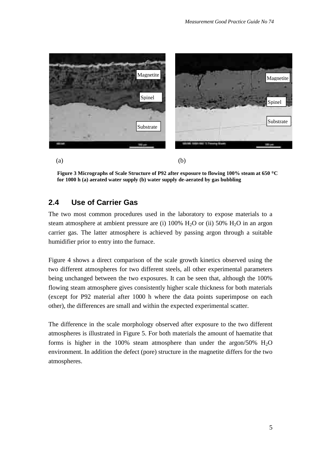

**Figure 3 Micrographs of Scale Structure of P92 after exposure to flowing 100% steam at 650 C for 1000 h (a) aerated water supply (b) water supply de-aerated by gas bubbling**

#### **2.4 Use of Carrier Gas**

The two most common procedures used in the laboratory to expose materials to a steam atmosphere at ambient pressure are (i)  $100\%$  H<sub>2</sub>O or (ii) 50% H<sub>2</sub>O in an argon carrier gas. The latter atmosphere is achieved by passing argon through a suitable humidifier prior to entry into the furnace.

Figure 4 shows a direct comparison of the scale growth kinetics observed using the two different atmospheres for two different steels, all other experimental parameters being unchanged between the two exposures. It can be seen that, although the 100% flowing steam atmosphere gives consistently higher scale thickness for both materials (except for P92 material after 1000 h where the data points superimpose on each other), the differences are small and within the expected experimental scatter.

The difference in the scale morphology observed after exposure to the two different atmospheres is illustrated in Figure 5. For both materials the amount of haematite that forms is higher in the 100% steam atmosphere than under the argon/50%  $H_2O$ environment. In addition the defect (pore) structure in the magnetite differs for the two atmospheres.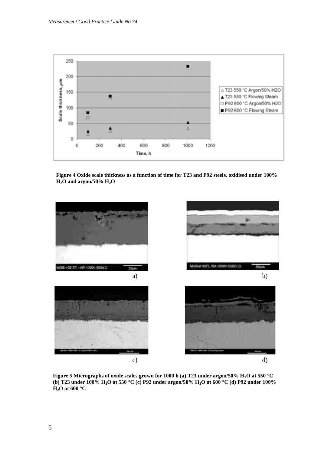

**Figure 4 Oxide scale thickness as a function of time for T23 and P92 steels, oxidised under 100% H2O and argon/50% H2O**



**Figure 5 Micrographs of oxide scales grown for 1000 h (a) T23 under argon/50% H2O at 550 °C (b) T23 under 100% H2O at 550 °C (c) P92 under argon/50% H2O at 600 °C (d) P92 under 100%**   $H_2O$  at 600 °C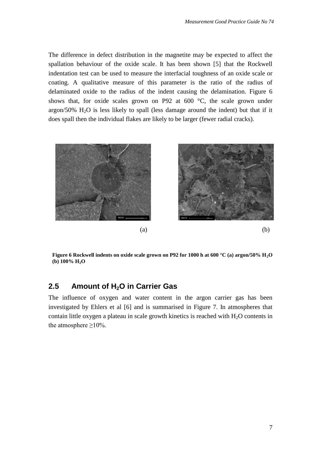The difference in defect distribution in the magnetite may be expected to affect the spallation behaviour of the oxide scale. It has been shown [5] that the Rockwell indentation test can be used to measure the interfacial toughness of an oxide scale or coating. A qualitative measure of this parameter is the ratio of the radius of delaminated oxide to the radius of the indent causing the delamination. Figure 6 shows that, for oxide scales grown on P92 at  $600\degree\text{C}$ , the scale grown under argon/50%  $H<sub>2</sub>O$  is less likely to spall (less damage around the indent) but that if it does spall then the individual flakes are likely to be larger (fewer radial cracks).



**Figure 6 Rockwell indents on oxide scale grown on P92 for 1000 h at 600 °C (a) argon/50% H2O (b) 100% H2O**

#### **2.5 Amount of H2O in Carrier Gas**

The influence of oxygen and water content in the argon carrier gas has been investigated by Ehlers et al [6] and is summarised in Figure 7. In atmospheres that contain little oxygen a plateau in scale growth kinetics is reached with  $H_2O$  contents in the atmosphere  $\geq$ 10%.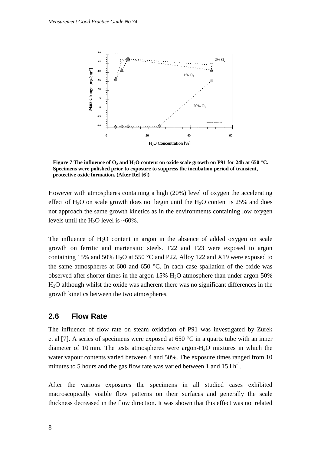

**Figure 7 The influence of O<sup>2</sup> and H2O content on oxide scale growth on P91 for 24h at 650 °C. Specimens were polished prior to exposure to suppress the incubation period of transient, protective oxide formation. (After Ref [6])**

However with atmospheres containing a high (20%) level of oxygen the accelerating effect of  $H_2O$  on scale growth does not begin until the  $H_2O$  content is 25% and does not approach the same growth kinetics as in the environments containing low oxygen levels until the H<sub>2</sub>O level is  $~60\%$ .

The influence of  $H_2O$  content in argon in the absence of added oxygen on scale growth on ferritic and martensitic steels. T22 and T23 were exposed to argon containing 15% and 50%  $H_2O$  at 550 °C and P22, Alloy 122 and X19 were exposed to the same atmospheres at 600 and 650 °C. In each case spallation of the oxide was observed after shorter times in the argon-15%  $H<sub>2</sub>O$  atmosphere than under argon-50% H2O although whilst the oxide was adherent there was no significant differences in the growth kinetics between the two atmospheres.

#### **2.6 Flow Rate**

The influence of flow rate on steam oxidation of P91 was investigated by Zurek et al [7]. A series of specimens were exposed at 650 °C in a quartz tube with an inner diameter of 10 mm. The tests atmospheres were argon-H2O mixtures in which the water vapour contents varied between 4 and 50%. The exposure times ranged from 10 minutes to 5 hours and the gas flow rate was varied between 1 and  $15 \text{ lb}^{-1}$ .

After the various exposures the specimens in all studied cases exhibited macroscopically visible flow patterns on their surfaces and generally the scale thickness decreased in the flow direction. It was shown that this effect was not related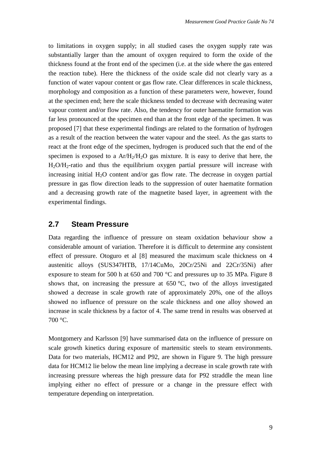to limitations in oxygen supply; in all studied cases the oxygen supply rate was substantially larger than the amount of oxygen required to form the oxide of the thickness found at the front end of the specimen (i.e. at the side where the gas entered the reaction tube). Here the thickness of the oxide scale did not clearly vary as a function of water vapour content or gas flow rate. Clear differences in scale thickness, morphology and composition as a function of these parameters were, however, found at the specimen end; here the scale thickness tended to decrease with decreasing water vapour content and/or flow rate. Also, the tendency for outer haematite formation was far less pronounced at the specimen end than at the front edge of the specimen. It was proposed [7] that these experimental findings are related to the formation of hydrogen as a result of the reaction between the water vapour and the steel. As the gas starts to react at the front edge of the specimen, hydrogen is produced such that the end of the specimen is exposed to a  $Ar/H<sub>2</sub>/H<sub>2</sub>O$  gas mixture. It is easy to derive that here, the H2O/H2-ratio and thus the equilibrium oxygen partial pressure will increase with increasing initial  $H_2O$  content and/or gas flow rate. The decrease in oxygen partial pressure in gas flow direction leads to the suppression of outer haematite formation and a decreasing growth rate of the magnetite based layer, in agreement with the experimental findings.

#### **2.7 Steam Pressure**

Data regarding the influence of pressure on steam oxidation behaviour show a considerable amount of variation. Therefore it is difficult to determine any consistent effect of pressure. Otoguro et al [8] measured the maximum scale thickness on 4 austenitic alloys (SUS347HTB, 17/14CuMo, 20Cr/25Ni and 22Cr/35Ni) after exposure to steam for 500 h at 650 and 700 °C and pressures up to 35 MPa. Figure 8 shows that, on increasing the pressure at  $650 \degree C$ , two of the alloys investigated showed a decrease in scale growth rate of approximately 20%, one of the alloys showed no influence of pressure on the scale thickness and one alloy showed an increase in scale thickness by a factor of 4. The same trend in results was observed at 700 °C.

Montgomery and Karlsson [9] have summarised data on the influence of pressure on scale growth kinetics during exposure of martensitic steels to steam environments. Data for two materials, HCM12 and P92, are shown in Figure 9. The high pressure data for HCM12 lie below the mean line implying a decrease in scale growth rate with increasing pressure whereas the high pressure data for P92 straddle the mean line implying either no effect of pressure or a change in the pressure effect with temperature depending on interpretation.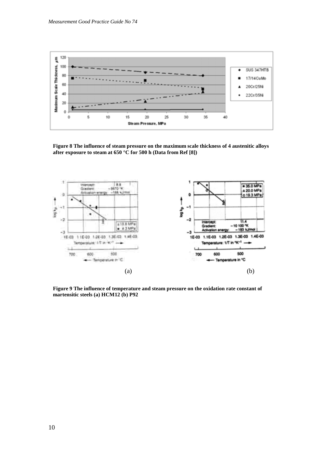

**Figure 8 The influence of steam pressure on the maximum scale thickness of 4 austenitic alloys after exposure to steam at 650 °C for 500 h (Data from Ref [8])**



**Figure 9 The influence of temperature and steam pressure on the oxidation rate constant of martensitic steels (a) HCM12 (b) P92**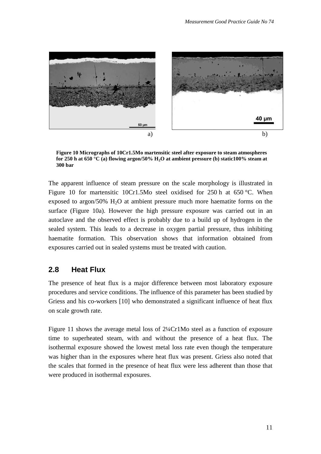

**Figure 10 Micrographs of 10Cr1.5Mo martensitic steel after exposure to steam atmospheres for 250 h at 650 °C (a) flowing argon/50% H2O at ambient pressure (b) static100% steam at 300 bar** 

The apparent influence of steam pressure on the scale morphology is illustrated in Figure 10 for martensitic 10Cr1.5Mo steel oxidised for 250 h at 650 °C. When exposed to argon/50%  $H_2O$  at ambient pressure much more haematite forms on the surface (Figure 10a). However the high pressure exposure was carried out in an autoclave and the observed effect is probably due to a build up of hydrogen in the sealed system. This leads to a decrease in oxygen partial pressure, thus inhibiting haematite formation. This observation shows that information obtained from exposures carried out in sealed systems must be treated with caution.

#### **2.8 Heat Flux**

The presence of heat flux is a major difference between most laboratory exposure procedures and service conditions. The influence of this parameter has been studied by Griess and his co-workers [10] who demonstrated a significant influence of heat flux on scale growth rate.

Figure 11 shows the average metal loss of 2¼Cr1Mo steel as a function of exposure time to superheated steam, with and without the presence of a heat flux. The isothermal exposure showed the lowest metal loss rate even though the temperature was higher than in the exposures where heat flux was present. Griess also noted that the scales that formed in the presence of heat flux were less adherent than those that were produced in isothermal exposures.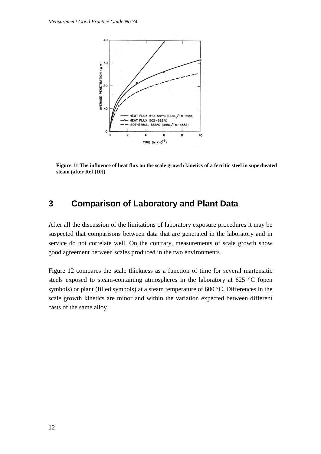

**Figure 11 The influence of heat flux on the scale growth kinetics of a ferritic steel in superheated steam (after Ref [10])**

## **3 Comparison of Laboratory and Plant Data**

After all the discussion of the limitations of laboratory exposure procedures it may be suspected that comparisons between data that are generated in the laboratory and in service do not correlate well. On the contrary, measurements of scale growth show good agreement between scales produced in the two environments.

Figure 12 compares the scale thickness as a function of time for several martensitic steels exposed to steam-containing atmospheres in the laboratory at 625 °C (open symbols) or plant (filled symbols) at a steam temperature of 600 °C. Differences in the scale growth kinetics are minor and within the variation expected between different casts of the same alloy.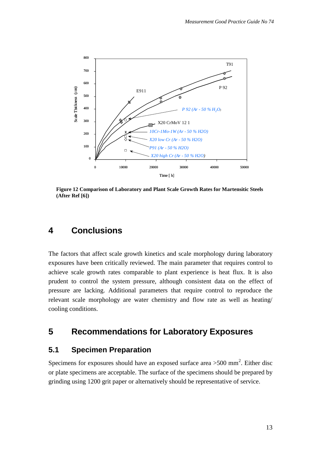

**Figure 12 Comparison of Laboratory and Plant Scale Growth Rates for Martensitic Steels (After Ref [6])**

# **4 Conclusions**

The factors that affect scale growth kinetics and scale morphology during laboratory exposures have been critically reviewed. The main parameter that requires control to achieve scale growth rates comparable to plant experience is heat flux. It is also prudent to control the system pressure, although consistent data on the effect of pressure are lacking. Additional parameters that require control to reproduce the relevant scale morphology are water chemistry and flow rate as well as heating/ cooling conditions.

## **5 Recommendations for Laboratory Exposures**

#### **5.1 Specimen Preparation**

Specimens for exposures should have an exposed surface area  $>500$  mm<sup>2</sup>. Either disc or plate specimens are acceptable. The surface of the specimens should be prepared by grinding using 1200 grit paper or alternatively should be representative of service.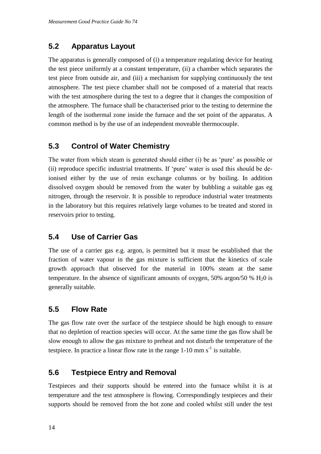## **5.2 Apparatus Layout**

The apparatus is generally composed of (i) a temperature regulating device for heating the test piece uniformly at a constant temperature, (ii) a chamber which separates the test piece from outside air, and (iii) a mechanism for supplying continuously the test atmosphere. The test piece chamber shall not be composed of a material that reacts with the test atmosphere during the test to a degree that it changes the composition of the atmosphere. The furnace shall be characterised prior to the testing to determine the length of the isothermal zone inside the furnace and the set point of the apparatus. A common method is by the use of an independent moveable thermocouple.

## **5.3 Control of Water Chemistry**

The water from which steam is generated should either (i) be as 'pure' as possible or (ii) reproduce specific industrial treatments. If 'pure' water is used this should be deionised either by the use of resin exchange columns or by boiling. In addition dissolved oxygen should be removed from the water by bubbling a suitable gas eg nitrogen, through the reservoir. It is possible to reproduce industrial water treatments in the laboratory but this requires relatively large volumes to be treated and stored in reservoirs prior to testing.

### **5.4 Use of Carrier Gas**

The use of a carrier gas e.g. argon, is permitted but it must be established that the fraction of water vapour in the gas mixture is sufficient that the kinetics of scale growth approach that observed for the material in 100% steam at the same temperature. In the absence of significant amounts of oxygen, 50% argon/50 %  $H_2$ 0 is generally suitable.

### **5.5 Flow Rate**

The gas flow rate over the surface of the testpiece should be high enough to ensure that no depletion of reaction species will occur. At the same time the gas flow shall be slow enough to allow the gas mixture to preheat and not disturb the temperature of the testpiece. In practice a linear flow rate in the range  $1-10$  mm s<sup>-1</sup> is suitable.

### **5.6 Testpiece Entry and Removal**

Testpieces and their supports should be entered into the furnace whilst it is at temperature and the test atmosphere is flowing. Correspondingly testpieces and their supports should be removed from the hot zone and cooled whilst still under the test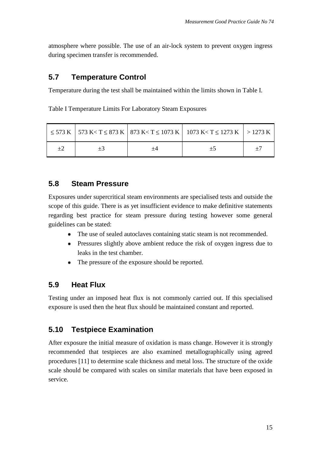atmosphere where possible. The use of an air-lock system to prevent oxygen ingress during specimen transfer is recommended.

## **5.7 Temperature Control**

Temperature during the test shall be maintained within the limits shown in Table I.

Table I Temperature Limits For Laboratory Steam Exposures

|  | $\leq$ 573 K   573 K< T $\leq$ 873 K   873 K< T $\leq$ 1073 K   1073 K< T $\leq$ 1273 K   > 1273 K |  |
|--|----------------------------------------------------------------------------------------------------|--|
|  |                                                                                                    |  |

### **5.8 Steam Pressure**

Exposures under supercritical steam environments are specialised tests and outside the scope of this guide. There is as yet insufficient evidence to make definitive statements regarding best practice for steam pressure during testing however some general guidelines can be stated:

- The use of sealed autoclaves containing static steam is not recommended.
- **Pressures slightly above ambient reduce the risk of oxygen ingress due to** leaks in the test chamber.
- The pressure of the exposure should be reported.

### **5.9 Heat Flux**

Testing under an imposed heat flux is not commonly carried out. If this specialised exposure is used then the heat flux should be maintained constant and reported.

### **5.10 Testpiece Examination**

After exposure the initial measure of oxidation is mass change. However it is strongly recommended that testpieces are also examined metallographically using agreed procedures [11] to determine scale thickness and metal loss. The structure of the oxide scale should be compared with scales on similar materials that have been exposed in service.